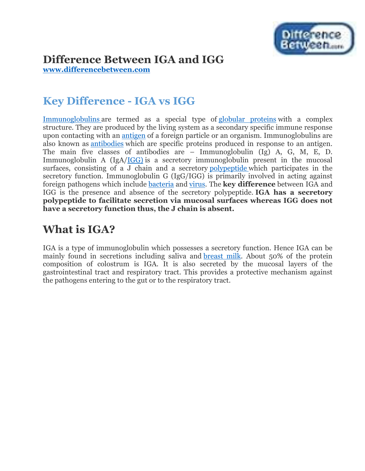

#### **Difference Between IGA and IGG**

**[www.differencebetween.com](http://www.differencebetween.com/)**

### **Key Difference - IGA vs IGG**

[Immunoglobulins](http://www.differencebetween.com/difference-between-immunoglobulin-and-vs-antibody/) are termed as a special type of [globular proteins](http://www.differencebetween.com/difference-between-fibrous-and-vs-globular-proteins/) with a complex structure. They are produced by the living system as a secondary specific immune response upon contacting with an [antigen](http://www.differencebetween.com/difference-between-antigen-and-vs-immunogen/#Antigen) of a foreign particle or an organism. Immunoglobulins are also known as [antibodies](http://www.differencebetween.com/difference-between-complete-and-vs-incomplete-antibodies/) which are specific proteins produced in response to an antigen. The main five classes of antibodies are – Immunoglobulin (Ig) A, G, M, E, D. Immunoglobulin A (IgA[/IGG\)](http://www.differencebetween.com/difference-between-igg-and-vs-ige/#IgG) is a secretory immunoglobulin present in the mucosal surfaces, consisting of a J chain and a secretory [polypeptide](http://www.differencebetween.com/difference-between-polypeptide-and-vs-protein/) which participates in the secretory function. Immunoglobulin G (IgG/IGG) is primarily involved in acting against foreign pathogens which include [bacteria](http://www.differencebetween.com/difference-between-mycoplasma-and-vs-bacteria/#ef) and [virus.](http://www.differencebetween.com/difference-between-virus-and-vs-virion/#Virus) The **key difference** between IGA and IGG is the presence and absence of the secretory polypeptide. **IGA has a secretory polypeptide to facilitate secretion via mucosal surfaces whereas IGG does not have a secretory function thus, the J chain is absent.**

### **What is IGA?**

IGA is a type of immunoglobulin which possesses a secretory function. Hence IGA can be mainly found in secretions including saliva and [breast milk.](http://www.differencebetween.com/difference-between-breast-milk-and-vs-cow-milk/) About 50% of the protein composition of colostrum is IGA. It is also secreted by the mucosal layers of the gastrointestinal tract and respiratory tract. This provides a protective mechanism against the pathogens entering to the gut or to the respiratory tract.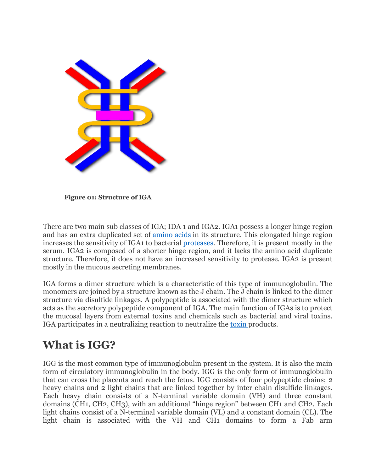

**Figure 01: Structure of IGA**

There are two main sub classes of IGA; IDA 1 and IGA2. IGA1 possess a longer hinge region and has an extra duplicated set of [amino acids](http://www.differencebetween.com/difference-between-amine-and-vs-amino-acid/) in its structure. This elongated hinge region increases the sensitivity of IGA1 to bacterial [proteases.](http://www.differencebetween.com/difference-between-protease-and-vs-peptidase/#Protease) Therefore, it is present mostly in the serum. IGA2 is composed of a shorter hinge region, and it lacks the amino acid duplicate structure. Therefore, it does not have an increased sensitivity to protease. IGA2 is present mostly in the mucous secreting membranes.

IGA forms a dimer structure which is a characteristic of this type of immunoglobulin. The monomers are joined by a structure known as the J chain. The J chain is linked to the dimer structure via disulfide linkages. A polypeptide is associated with the dimer structure which acts as the secretory polypeptide component of IGA. The main function of IGAs is to protect the mucosal layers from external toxins and chemicals such as bacterial and viral toxins. IGA participates in a neutralizing reaction to neutralize the [toxin](http://www.differencebetween.com/difference-between-toxin-and-vs-toxoid/#Toxin) products.

# **What is IGG?**

IGG is the most common type of immunoglobulin present in the system. It is also the main form of circulatory immunoglobulin in the body. IGG is the only form of immunoglobulin that can cross the placenta and reach the fetus. IGG consists of four polypeptide chains; 2 heavy chains and 2 light chains that are linked together by inter chain disulfide linkages. Each heavy chain consists of a N-terminal variable domain (VH) and three constant domains (CH1, CH2, CH3), with an additional "hinge region" between CH1 and CH2. Each light chains consist of a N-terminal variable domain (VL) and a constant domain (CL). The light chain is associated with the VH and CH1 domains to form a Fab arm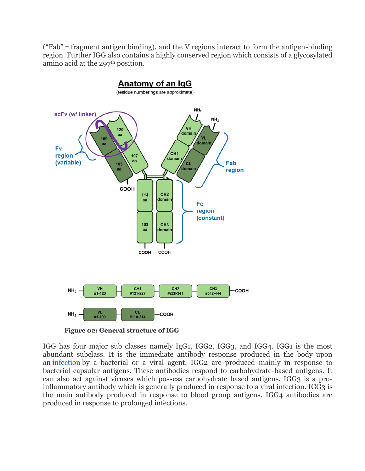("Fab" = fragment antigen binding), and the V regions interact to form the antigen-binding region. Further IGG also contains a highly conserved region which consists of a glycosylated amino acid at the 297<sup>th</sup> position.



**Figure 02: General structure of IGG**

IGG has four major sub classes namely IgG1, IGG2, IGG3, and IGG4. IGG1 is the most abundant subclass. It is the immediate antibody response produced in the body upon an [infection](http://www.differencebetween.com/difference-between-viral-and-bacterial-infection/) by a bacterial or a viral agent. IGG2 are produced mainly in response to bacterial capsular antigens. These antibodies respond to carbohydrate-based antigens. It can also act against viruses which possess carbohydrate based antigens. IGG3 is a proinflammatory antibody which is generally produced in response to a viral infection. IGG3 is the main antibody produced in response to blood group antigens. IGG4 antibodies are produced in response to prolonged infections.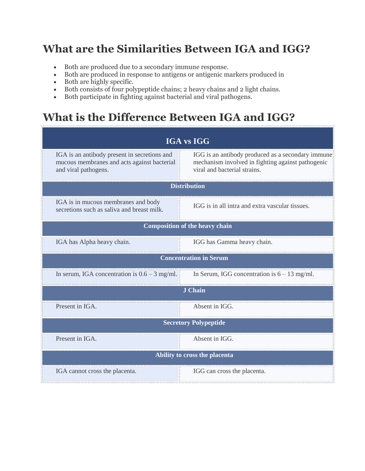# **What are the Similarities Between IGA and IGG?**

- Both are produced due to a secondary immune response.
- Both are produced in response to antigens or antigenic markers produced in
- Both are highly specific.
- Both consists of four polypeptide chains; 2 heavy chains and 2 light chains.
- Both participate in fighting against bacterial and viral pathogens.

# **What is the Difference Between IGA and IGG?**

| <b>IGA vs IGG</b>                                                                                                   |                                                                                                                                        |
|---------------------------------------------------------------------------------------------------------------------|----------------------------------------------------------------------------------------------------------------------------------------|
| IGA is an antibody present in secretions and<br>mucous membranes and acts against bacterial<br>and viral pathogens. | IGG is an antibody produced as a secondary immune<br>mechanism involved in fighting against pathogenic<br>viral and bacterial strains. |
| <b>Distribution</b>                                                                                                 |                                                                                                                                        |
| IGA is in mucous membranes and body<br>secretions such as saliva and breast milk.                                   | IGG is in all intra and extra vascular tissues.                                                                                        |
| <b>Composition of the heavy chain</b>                                                                               |                                                                                                                                        |
| IGA has Alpha heavy chain.                                                                                          | IGG has Gamma heavy chain.                                                                                                             |
| <b>Concentration in Serum</b>                                                                                       |                                                                                                                                        |
| In serum, IGA concentration is $0.6 - 3$ mg/ml.                                                                     | In Serum, IGG concentration is $6 - 13$ mg/ml.                                                                                         |
| <b>J</b> Chain                                                                                                      |                                                                                                                                        |
| Present in IGA.                                                                                                     | Absent in IGG.                                                                                                                         |
| <b>Secretory Polypeptide</b>                                                                                        |                                                                                                                                        |
| Present in IGA.                                                                                                     | Absent in IGG.                                                                                                                         |
| Ability to cross the placenta                                                                                       |                                                                                                                                        |
| IGA cannot cross the placenta.                                                                                      | IGG can cross the placenta.                                                                                                            |